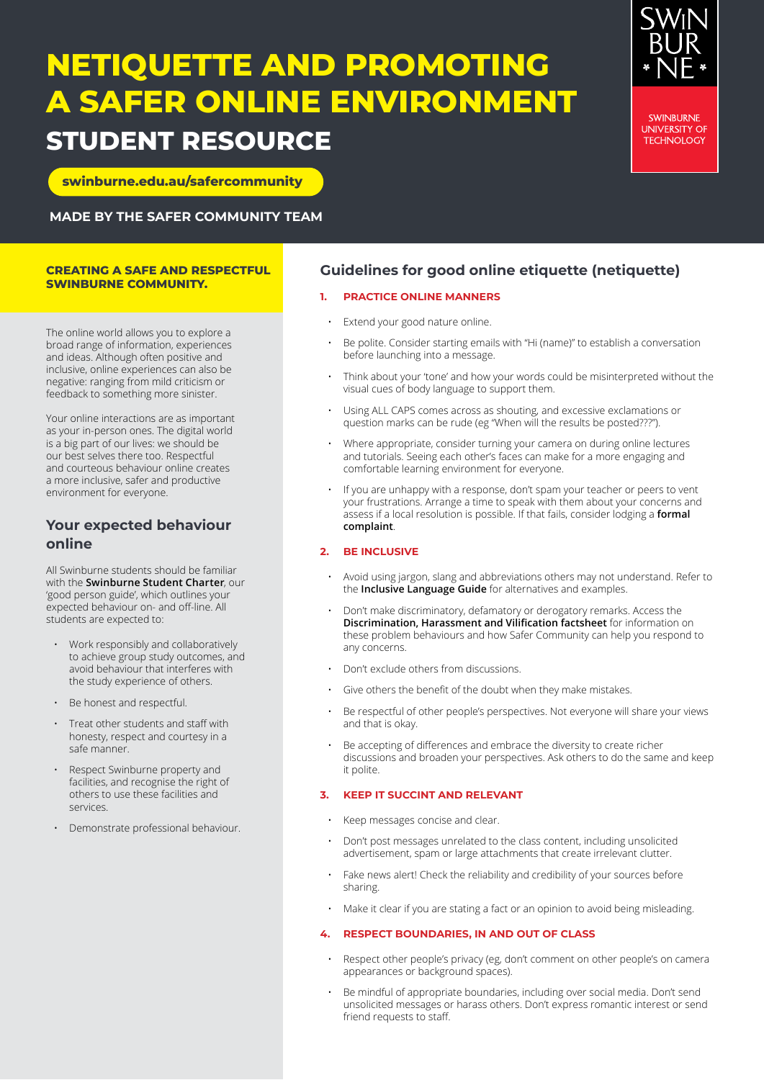# **NETIQUETTE AND PROMOTING A SAFER ONLINE ENVIRONMENT STUDENT RESOURCE**

**[swinburne.edu.au/safercommunity](http://www.swinburne.edu.au/safercommunity)**

**MADE BY THE SAFER COMMUNITY TEAM**

### **CREATING A SAFE AND RESPECTFUL SWINBURNE COMMUNITY.**

The online world allows you to explore a broad range of information, experiences and ideas. Although often positive and inclusive, online experiences can also be negative: ranging from mild criticism or feedback to something more sinister.

Your online interactions are as important as your in-person ones. The digital world is a big part of our lives: we should be our best selves there too. Respectful and courteous behaviour online creates a more inclusive, safer and productive environment for everyone.

# **Your expected behaviour online**

All Swinburne students should be familiar with the **[Swinburne Student Charter](https://www.swinburne.edu.au/about/leadership-governance/policies-regulations/policies/people-culture-integrity/student-charter/)**, our 'good person guide', which outlines your expected behaviour on- and off-line. All students are expected to:

- Work responsibly and collaboratively to achieve group study outcomes, and avoid behaviour that interferes with the study experience of others.
- Be honest and respectful.
- Treat other students and staff with honesty, respect and courtesy in a safe manner.
- Respect Swinburne property and facilities, and recognise the right of others to use these facilities and services.
- Demonstrate professional behaviour.

# **Guidelines for good online etiquette (netiquette)**

# **1. PRACTICE ONLINE MANNERS**

- Extend your good nature online.
- Be polite. Consider starting emails with "Hi (name)" to establish a conversation before launching into a message.
- Think about your 'tone' and how your words could be misinterpreted without the visual cues of body language to support them.
- Using ALL CAPS comes across as shouting, and excessive exclamations or question marks can be rude (eg "When will the results be posted???").
- Where appropriate, consider turning your camera on during online lectures and tutorials. Seeing each other's faces can make for a more engaging and comfortable learning environment for everyone.
- If you are unhappy with a response, don't spam your teacher or peers to vent your frustrations. Arrange a time to speak with them about your concerns and assess if a local resolution is possible. If that fails, consider lodging a **[formal](https://www.swinburne.edu.au/corporate/feedback/)  [complaint](https://www.swinburne.edu.au/corporate/feedback/)**.

# **2. BE INCLUSIVE**

- Avoid using jargon, slang and abbreviations others may not understand. Refer to the **[Inclusive Language Guide](https://www.swinburne.edu.au/content/dam/media/docs/Inclusive_language.pdf)** for alternatives and examples.
- Don't make discriminatory, defamatory or derogatory remarks. Access the **[Discrimination, Harassment and Vilification factsheet](https://www.swinburne.edu.au/content/dam/media/docs/SUT0194_Discrimination%20Flyer%20A4_201910_TL_v1.7.pdf)** for information on these problem behaviours and how Safer Community can help you respond to any concerns.
- Don't exclude others from discussions.
- Give others the benefit of the doubt when they make mistakes.
- Be respectful of other people's perspectives. Not everyone will share your views and that is okay.
- Be accepting of differences and embrace the diversity to create richer discussions and broaden your perspectives. Ask others to do the same and keep it polite.

# **3. KEEP IT SUCCINT AND RELEVANT**

- Keep messages concise and clear.
- Don't post messages unrelated to the class content, including unsolicited advertisement, spam or large attachments that create irrelevant clutter.
- Fake news alert! Check the reliability and credibility of your sources before sharing.
- Make it clear if you are stating a fact or an opinion to avoid being misleading.

# **4. RESPECT BOUNDARIES, IN AND OUT OF CLASS**

- Respect other people's privacy (eg, don't comment on other people's on camera appearances or background spaces).
- Be mindful of appropriate boundaries, including over social media. Don't send unsolicited messages or harass others. Don't express romantic interest or send friend requests to staff.



**SWINBURNE UNIVERSITY OF TECHNOLOGY**